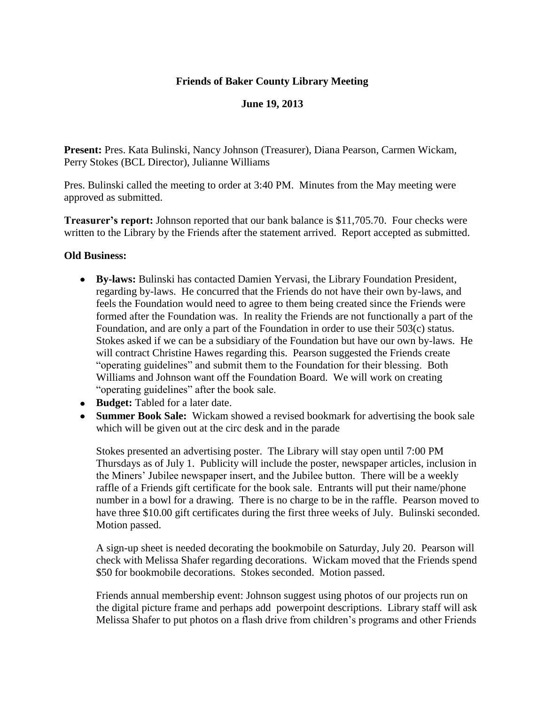### **Friends of Baker County Library Meeting**

## **June 19, 2013**

**Present:** Pres. Kata Bulinski, Nancy Johnson (Treasurer), Diana Pearson, Carmen Wickam, Perry Stokes (BCL Director), Julianne Williams

Pres. Bulinski called the meeting to order at 3:40 PM. Minutes from the May meeting were approved as submitted.

**Treasurer's report:** Johnson reported that our bank balance is \$11,705.70. Four checks were written to the Library by the Friends after the statement arrived. Report accepted as submitted.

#### **Old Business:**

- **By-laws:** Bulinski has contacted Damien Yervasi, the Library Foundation President, regarding by-laws. He concurred that the Friends do not have their own by-laws, and feels the Foundation would need to agree to them being created since the Friends were formed after the Foundation was. In reality the Friends are not functionally a part of the Foundation, and are only a part of the Foundation in order to use their 503(c) status. Stokes asked if we can be a subsidiary of the Foundation but have our own by-laws. He will contract Christine Hawes regarding this. Pearson suggested the Friends create "operating guidelines" and submit them to the Foundation for their blessing. Both Williams and Johnson want off the Foundation Board. We will work on creating "operating guidelines" after the book sale.
- **Budget:** Tabled for a later date.
- **Summer Book Sale:** Wickam showed a revised bookmark for advertising the book sale which will be given out at the circ desk and in the parade

Stokes presented an advertising poster. The Library will stay open until 7:00 PM Thursdays as of July 1. Publicity will include the poster, newspaper articles, inclusion in the Miners' Jubilee newspaper insert, and the Jubilee button.There will be a weekly raffle of a Friends gift certificate for the book sale. Entrants will put their name/phone number in a bowl for a drawing. There is no charge to be in the raffle. Pearson moved to have three \$10.00 gift certificates during the first three weeks of July. Bulinski seconded. Motion passed.

A sign-up sheet is needed decorating the bookmobile on Saturday, July 20. Pearson will check with Melissa Shafer regarding decorations. Wickam moved that the Friends spend \$50 for bookmobile decorations. Stokes seconded. Motion passed.

Friends annual membership event: Johnson suggest using photos of our projects run on the digital picture frame and perhaps add powerpoint descriptions. Library staff will ask Melissa Shafer to put photos on a flash drive from children's programs and other Friends